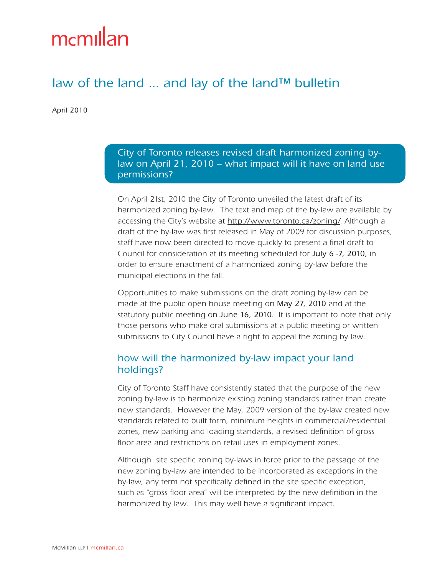# mcmillan

## law of the land ... and lay of the land™ bulletin

April 2010

City of Toronto releases revised draft harmonized zoning bylaw on April 21, 2010 – what impact will it have on land use permissions?

On April 21st, 2010 the City of Toronto unveiled the latest draft of its harmonized zoning by-law. The text and map of the by-law are available by accessing the City's website at [http://www.toronto.ca/zoning/.](http://www.toronto.ca/zoning/) Although a draft of the by-law was first released in May of 2009 for discussion purposes, staff have now been directed to move quickly to present a final draft to Council for consideration at its meeting scheduled for July 6 -7, 2010, in order to ensure enactment of a harmonized zoning by-law before the municipal elections in the fall.

Opportunities to make submissions on the draft zoning by-law can be made at the public open house meeting on May 27, 2010 and at the statutory public meeting on June 16, 2010. It is important to note that only those persons who make oral submissions at a public meeting or written submissions to City Council have a right to appeal the zoning by-law.

### how will the harmonized by-law impact your land holdings?

City of Toronto Staff have consistently stated that the purpose of the new zoning by-law is to harmonize existing zoning standards rather than create new standards. However the May, 2009 version of the by-law created new standards related to built form, minimum heights in commercial/residential zones, new parking and loading standards, a revised definition of gross floor area and restrictions on retail uses in employment zones.

Although site specific zoning by-laws in force prior to the passage of the new zoning by-law are intended to be incorporated as exceptions in the by-law, any term not specifically defined in the site specific exception, such as "gross floor area" will be interpreted by the new definition in the harmonized by-law. This may well have a significant impact.